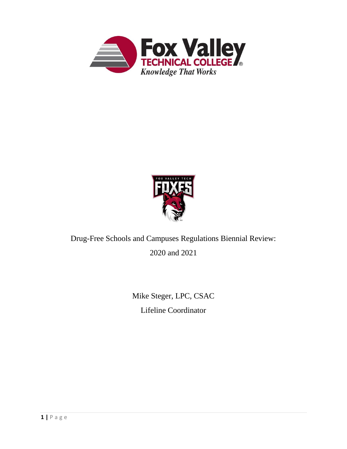



# Drug-Free Schools and Campuses Regulations Biennial Review: 2020 and 2021

Mike Steger, LPC, CSAC Lifeline Coordinator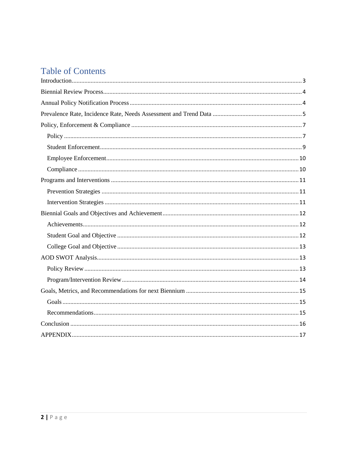# **Table of Contents**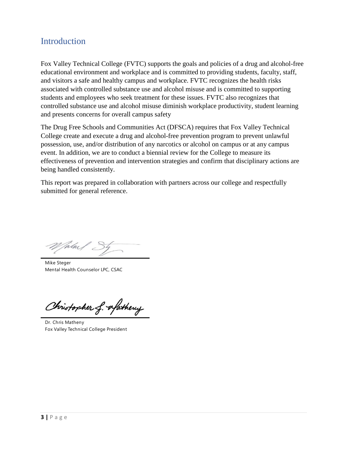## <span id="page-2-0"></span>**Introduction**

Fox Valley Technical College (FVTC) supports the goals and policies of a drug and alcohol-free educational environment and workplace and is committed to providing students, faculty, staff, and visitors a safe and healthy campus and workplace. FVTC recognizes the health risks associated with controlled substance use and alcohol misuse and is committed to supporting students and employees who seek treatment for these issues. FVTC also recognizes that controlled substance use and alcohol misuse diminish workplace productivity, student learning and presents concerns for overall campus safety

The Drug Free Schools and Communities Act (DFSCA) requires that Fox Valley Technical College create and execute a drug and alcohol-free prevention program to prevent unlawful possession, use, and/or distribution of any narcotics or alcohol on campus or at any campus event. In addition, we are to conduct a biennial review for the College to measure its effectiveness of prevention and intervention strategies and confirm that disciplinary actions are being handled consistently.

This report was prepared in collaboration with partners across our college and respectfully submitted for general reference.

Talm/  $\overline{\phantom{a}}$ 

Mike Steger Mental Health Counselor LPC, CSAC

Christopher f. afathery

Dr. Chris Matheny Fox Valley Technical College President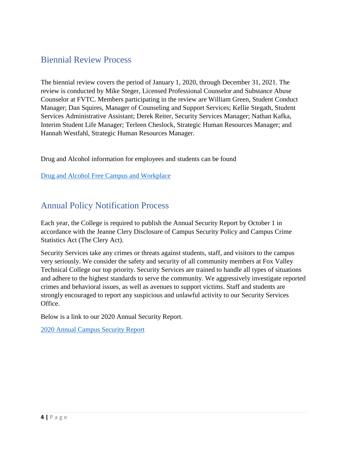## <span id="page-3-0"></span>Biennial Review Process

The biennial review covers the period of January 1, 2020, through December 31, 2021. The review is conducted by Mike Steger, Licensed Professional Counselor and Substance Abuse Counselor at FVTC. Members participating in the review are William Green, Student Conduct Manager; Dan Squires, Manager of Counseling and Support Services; Kellie Stegath, Student Services Administrative Assistant; Derek Reiter, Security Services Manager; Nathan Kafka, Interim Student Life Manager; Terleen Cheslock, Strategic Human Resources Manager; and Hannah Westfahl, Strategic Human Resources Manager.

Drug and Alcohol information for employees and students can be found

[Drug and Alcohol Free Campus and Workplace](https://www.fvtc.edu/Portals/0/PDFs/About-Us/Policies/Health-Safety/Drug-And-Alcohol-Free-Campus-And-Workplace.pdf)

## <span id="page-3-1"></span>Annual Policy Notification Process

Each year, the College is required to publish the Annual Security Report by October 1 in accordance with the Jeanne Clery Disclosure of Campus Security Policy and Campus Crime Statistics Act (The Clery Act).

Security Services take any crimes or threats against students, staff, and visitors to the campus very seriously. We consider the safety and security of all community members at Fox Valley Technical College our top priority. Security Services are trained to handle all types of situations and adhere to the highest standards to serve the community. We aggressively investigate reported crimes and behavioral issues, as well as avenues to support victims. Staff and students are strongly encouraged to report any suspicious and unlawful activity to our Security Services Office.

Below is a link to our 2020 Annual Security Report.

[2020 Annual Campus Security Report](https://www.fvtc.edu/Portals/0/PDFs/About-Us/Campus-Safety/annual-security-report.pdf)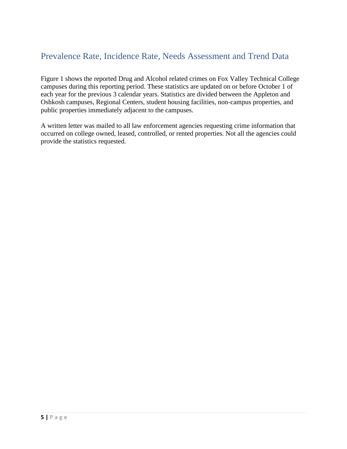## <span id="page-4-0"></span>Prevalence Rate, Incidence Rate, Needs Assessment and Trend Data

Figure 1 shows the reported Drug and Alcohol related crimes on Fox Valley Technical College campuses during this reporting period. These statistics are updated on or before October 1 of each year for the previous 3 calendar years. Statistics are divided between the Appleton and Oshkosh campuses, Regional Centers, student housing facilities, non-campus properties, and public properties immediately adjacent to the campuses.

A written letter was mailed to all law enforcement agencies requesting crime information that occurred on college owned, leased, controlled, or rented properties. Not all the agencies could provide the statistics requested.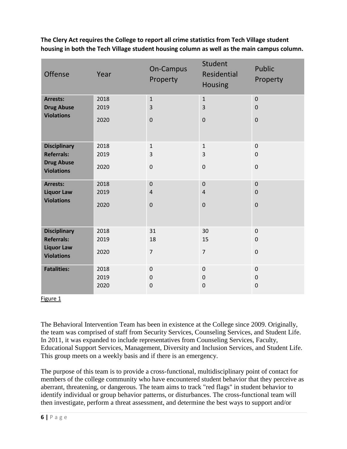| Offense                                | Year | On-Campus<br>Property | Student<br>Residential<br><b>Housing</b> | Public<br>Property |
|----------------------------------------|------|-----------------------|------------------------------------------|--------------------|
| <b>Arrests:</b>                        | 2018 | $\mathbf{1}$          | $\mathbf 1$                              | $\pmb{0}$          |
| <b>Drug Abuse</b><br><b>Violations</b> | 2019 | 3                     | 3                                        | $\mathbf 0$        |
|                                        | 2020 | $\pmb{0}$             | $\mathbf 0$                              | $\pmb{0}$          |
| <b>Disciplinary</b>                    | 2018 | $\mathbf{1}$          | $\mathbf{1}$                             | $\pmb{0}$          |
| <b>Referrals:</b>                      | 2019 | 3                     | 3                                        | $\pmb{0}$          |
| <b>Drug Abuse</b><br><b>Violations</b> | 2020 | 0                     | $\boldsymbol{0}$                         | $\pmb{0}$          |
| Arrests:                               | 2018 | $\pmb{0}$             | $\mathbf 0$                              | $\pmb{0}$          |
| <b>Liquor Law</b>                      | 2019 | $\overline{4}$        | $\sqrt{4}$                               | $\mathbf 0$        |
| <b>Violations</b>                      | 2020 | $\pmb{0}$             | $\pmb{0}$                                | $\pmb{0}$          |
| <b>Disciplinary</b>                    | 2018 | 31                    | 30                                       | $\mathsf 0$        |
| <b>Referrals:</b>                      | 2019 | 18                    | 15                                       | $\mathbf 0$        |
| <b>Liquor Law</b><br><b>Violations</b> | 2020 | $\overline{7}$        | $\overline{7}$                           | $\pmb{0}$          |
| <b>Fatalities:</b>                     | 2018 | 0                     | $\pmb{0}$                                | $\mathsf 0$        |
|                                        | 2019 | 0                     | $\boldsymbol{0}$                         | $\mathsf 0$        |
|                                        | 2020 | 0                     | $\boldsymbol{0}$                         | $\pmb{0}$          |

**The Clery Act requires the College to report all crime statistics from Tech Village student housing in both the Tech Village student housing column as well as the main campus column.**

#### Figure 1

The Behavioral Intervention Team has been in existence at the College since 2009. Originally, the team was comprised of staff from Security Services, Counseling Services, and Student Life. In 2011, it was expanded to include representatives from Counseling Services, Faculty, Educational Support Services, Management, Diversity and Inclusion Services, and Student Life. This group meets on a weekly basis and if there is an emergency.

The purpose of this team is to provide a cross-functional, multidisciplinary point of contact for members of the college community who have encountered student behavior that they perceive as aberrant, threatening, or dangerous. The team aims to track "red flags" in student behavior to identify individual or group behavior patterns, or disturbances. The cross-functional team will then investigate, perform a threat assessment, and determine the best ways to support and/or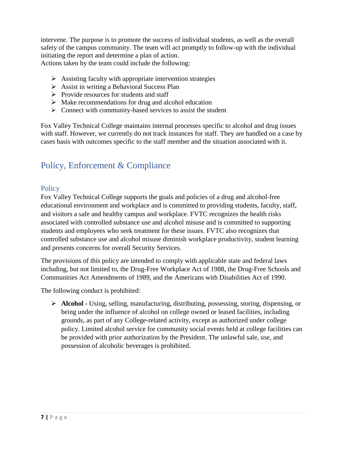intervene. The purpose is to promote the success of individual students, as well as the overall safety of the campus community. The team will act promptly to follow-up with the individual initiating the report and determine a plan of action.

Actions taken by the team could include the following:

- $\triangleright$  Assisting faculty with appropriate intervention strategies
- ➢ Assist in writing a Behavioral Success Plan
- ➢ Provide resources for students and staff
- $\triangleright$  Make recommendations for drug and alcohol education
- ➢ Connect with community-based services to assist the student

Fox Valley Technical College maintains internal processes specific to alcohol and drug issues with staff. However, we currently do not track instances for staff. They are handled on a case by cases basis with outcomes specific to the staff member and the situation associated with it.

## <span id="page-6-0"></span>Policy, Enforcement & Compliance

### <span id="page-6-1"></span>**Policy**

Fox Valley Technical College supports the goals and policies of a drug and alcohol-free educational environment and workplace and is committed to providing students, faculty, staff, and visitors a safe and healthy campus and workplace. FVTC recognizes the health risks associated with controlled substance use and alcohol misuse and is committed to supporting students and employees who seek treatment for these issues. FVTC also recognizes that controlled substance use and alcohol misuse diminish workplace productivity, student learning and presents concerns for overall Security Services.

The provisions of this policy are intended to comply with applicable state and federal laws including, but not limited to, the Drug-Free Workplace Act of 1988, the Drug-Free Schools and Communities Act Amendments of 1989, and the Americans with Disabilities Act of 1990.

The following conduct is prohibited:

➢ **Alcohol -** Using, selling, manufacturing, distributing, possessing, storing, dispensing, or being under the influence of alcohol on college owned or leased facilities, including grounds, as part of any College-related activity, except as authorized under college policy. Limited alcohol service for community social events held at college facilities can be provided with prior authorization by the President. The unlawful sale, use, and possession of alcoholic beverages is prohibited.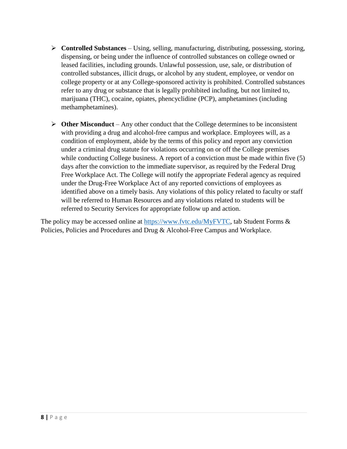- ➢ **Controlled Substances** Using, selling, manufacturing, distributing, possessing, storing, dispensing, or being under the influence of controlled substances on college owned or leased facilities, including grounds. Unlawful possession, use, sale, or distribution of controlled substances, illicit drugs, or alcohol by any student, employee, or vendor on college property or at any College-sponsored activity is prohibited. Controlled substances refer to any drug or substance that is legally prohibited including, but not limited to, marijuana (THC), cocaine, opiates, phencyclidine (PCP), amphetamines (including methamphetamines).
- ➢ **Other Misconduct** Any other conduct that the College determines to be inconsistent with providing a drug and alcohol-free campus and workplace. Employees will, as a condition of employment, abide by the terms of this policy and report any conviction under a criminal drug statute for violations occurring on or off the College premises while conducting College business. A report of a conviction must be made within five (5) days after the conviction to the immediate supervisor, as required by the Federal Drug Free Workplace Act. The College will notify the appropriate Federal agency as required under the Drug-Free Workplace Act of any reported convictions of employees as identified above on a timely basis. Any violations of this policy related to faculty or staff will be referred to Human Resources and any violations related to students will be referred to Security Services for appropriate follow up and action.

The policy may be accessed online at [https://www.fvtc.edu/MyFVTC,](https://www.fvtc.edu/MyFVTC) tab Student Forms & Policies, Policies and Procedures and Drug & Alcohol-Free Campus and Workplace.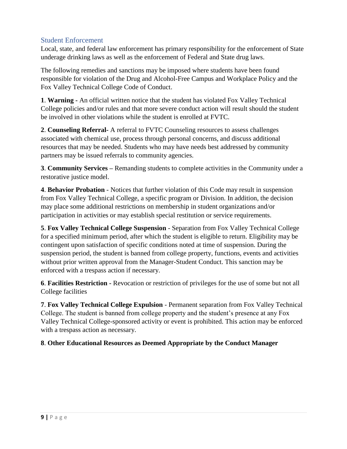### <span id="page-8-0"></span>Student Enforcement

Local, state, and federal law enforcement has primary responsibility for the enforcement of State underage drinking laws as well as the enforcement of Federal and State drug laws.

The following remedies and sanctions may be imposed where students have been found responsible for violation of the Drug and Alcohol-Free Campus and Workplace Policy and the Fox Valley Technical College Code of Conduct.

**1**. **Warning -** An official written notice that the student has violated Fox Valley Technical College policies and/or rules and that more severe conduct action will result should the student be involved in other violations while the student is enrolled at FVTC.

**2**. **Counseling Referral-** A referral to FVTC Counseling resources to assess challenges associated with chemical use, process through personal concerns, and discuss additional resources that may be needed. Students who may have needs best addressed by community partners may be issued referrals to community agencies.

**3**. **Community Services –** Remanding students to complete activities in the Community under a restorative justice model.

**4**. **Behavior Probation** - Notices that further violation of this Code may result in suspension from Fox Valley Technical College, a specific program or Division. In addition, the decision may place some additional restrictions on membership in student organizations and/or participation in activities or may establish special restitution or service requirements.

**5**. **Fox Valley Technical College Suspension** - Separation from Fox Valley Technical College for a specified minimum period, after which the student is eligible to return. Eligibility may be contingent upon satisfaction of specific conditions noted at time of suspension. During the suspension period, the student is banned from college property, functions, events and activities without prior written approval from the Manager-Student Conduct. This sanction may be enforced with a trespass action if necessary.

**6**. **Facilities Restriction -** Revocation or restriction of privileges for the use of some but not all College facilities

**7**. **Fox Valley Technical College Expulsion** - Permanent separation from Fox Valley Technical College. The student is banned from college property and the student's presence at any Fox Valley Technical College-sponsored activity or event is prohibited. This action may be enforced with a trespass action as necessary.

### **8**. **Other Educational Resources as Deemed Appropriate by the Conduct Manager**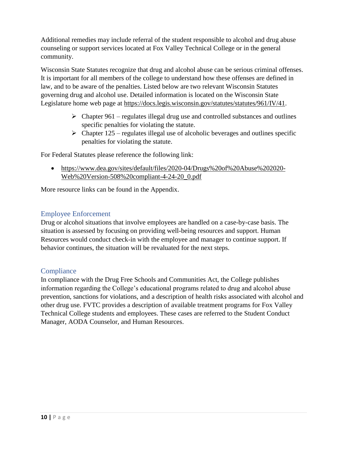Additional remedies may include referral of the student responsible to alcohol and drug abuse counseling or support services located at Fox Valley Technical College or in the general community.

Wisconsin State Statutes recognize that drug and alcohol abuse can be serious criminal offenses. It is important for all members of the college to understand how these offenses are defined in law, and to be aware of the penalties. Listed below are two relevant Wisconsin Statutes governing drug and alcohol use. Detailed information is located on the Wisconsin State Legislature home web page at [https://docs.legis.wisconsin.gov/statutes/statutes/961/IV/41.](https://docs.legis.wisconsin.gov/statutes/statutes/961/IV/41)

- $\triangleright$  Chapter 961 regulates illegal drug use and controlled substances and outlines specific penalties for violating the statute.
- $\triangleright$  Chapter 125 regulates illegal use of alcoholic beverages and outlines specific penalties for violating the statute.

For Federal Statutes please reference the following link:

• [https://www.dea.gov/sites/default/files/2020-04/Drugs%20of%20Abuse%202020-](https://www.dea.gov/sites/default/files/2020-04/Drugs%20of%20Abuse%202020-Web%20Version-508%20compliant-4-24-20_0.pdf) [Web%20Version-508%20compliant-4-24-20\\_0.pdf](https://www.dea.gov/sites/default/files/2020-04/Drugs%20of%20Abuse%202020-Web%20Version-508%20compliant-4-24-20_0.pdf)

More resource links can be found in the Appendix.

### <span id="page-9-0"></span>Employee Enforcement

Drug or alcohol situations that involve employees are handled on a case-by-case basis. The situation is assessed by focusing on providing well-being resources and support. Human Resources would conduct check-in with the employee and manager to continue support. If behavior continues, the situation will be revaluated for the next steps.

### <span id="page-9-1"></span>**Compliance**

In compliance with the Drug Free Schools and Communities Act, the College publishes information regarding the College's educational programs related to drug and alcohol abuse prevention, sanctions for violations, and a description of health risks associated with alcohol and other drug use. FVTC provides a description of available treatment programs for Fox Valley Technical College students and employees. These cases are referred to the Student Conduct Manager, AODA Counselor, and Human Resources.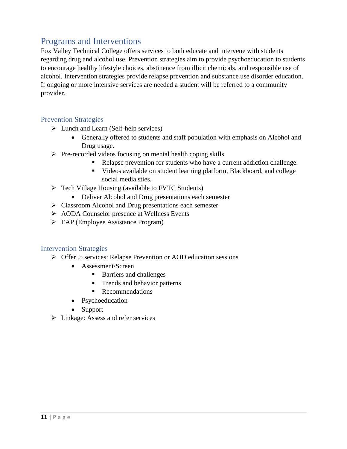## <span id="page-10-0"></span>Programs and Interventions

Fox Valley Technical College offers services to both educate and intervene with students regarding drug and alcohol use. Prevention strategies aim to provide psychoeducation to students to encourage healthy lifestyle choices, abstinence from illicit chemicals, and responsible use of alcohol. Intervention strategies provide relapse prevention and substance use disorder education. If ongoing or more intensive services are needed a student will be referred to a community provider.

#### <span id="page-10-1"></span>Prevention Strategies

- ➢ Lunch and Learn (Self-help services)
	- Generally offered to students and staff population with emphasis on Alcohol and Drug usage.
- ➢ Pre-recorded videos focusing on mental health coping skills
	- Relapse prevention for students who have a current addiction challenge.
	- Videos available on student learning platform, Blackboard, and college social media sties.
- ➢ Tech Village Housing (available to FVTC Students)
	- Deliver Alcohol and Drug presentations each semester
- ➢ Classroom Alcohol and Drug presentations each semester
- ➢ AODA Counselor presence at Wellness Events
- ➢ EAP (Employee Assistance Program)

#### <span id="page-10-2"></span>Intervention Strategies

- ➢ Offer .5 services: Relapse Prevention or AOD education sessions
	- Assessment/Screen
		- Barriers and challenges
		- Trends and behavior patterns
		- Recommendations
	- Psychoeducation
	- Support
- ➢ Linkage: Assess and refer services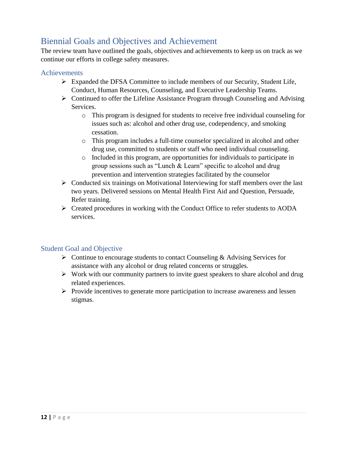## <span id="page-11-0"></span>Biennial Goals and Objectives and Achievement

The review team have outlined the goals, objectives and achievements to keep us on track as we continue our efforts in college safety measures.

### <span id="page-11-1"></span>Achievements

- ➢ Expanded the DFSA Committee to include members of our Security, Student Life, Conduct, Human Resources, Counseling, and Executive Leadership Teams.
- ➢ Continued to offer the Lifeline Assistance Program through Counseling and Advising Services.
	- o This program is designed for students to receive free individual counseling for issues such as: alcohol and other drug use, codependency, and smoking cessation.
	- o This program includes a full-time counselor specialized in alcohol and other drug use, committed to students or staff who need individual counseling.
	- o Included in this program, are opportunities for individuals to participate in group sessions such as "Lunch & Learn" specific to alcohol and drug prevention and intervention strategies facilitated by the counselor
- ➢ Conducted six trainings on Motivational Interviewing for staff members over the last two years. Delivered sessions on Mental Health First Aid and Question, Persuade, Refer training.
- ➢ Created procedures in working with the Conduct Office to refer students to AODA services.

### <span id="page-11-2"></span>Student Goal and Objective

- $\triangleright$  Continue to encourage students to contact Counseling & Advising Services for assistance with any alcohol or drug related concerns or struggles.
- $\triangleright$  Work with our community partners to invite guest speakers to share alcohol and drug related experiences.
- ➢ Provide incentives to generate more participation to increase awareness and lessen stigmas.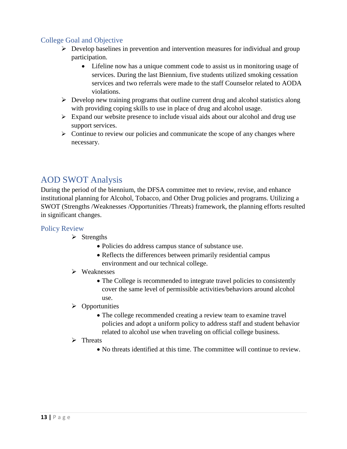### <span id="page-12-0"></span>College Goal and Objective

- ➢ Develop baselines in prevention and intervention measures for individual and group participation.
	- Lifeline now has a unique comment code to assist us in monitoring usage of services. During the last Biennium, five students utilized smoking cessation services and two referrals were made to the staff Counselor related to AODA violations.
- $\triangleright$  Develop new training programs that outline current drug and alcohol statistics along with providing coping skills to use in place of drug and alcohol usage.
- $\triangleright$  Expand our website presence to include visual aids about our alcohol and drug use support services.
- $\triangleright$  Continue to review our policies and communicate the scope of any changes where necessary.

## <span id="page-12-1"></span>AOD SWOT Analysis

During the period of the biennium, the DFSA committee met to review, revise, and enhance institutional planning for Alcohol, Tobacco, and Other Drug policies and programs. Utilizing a SWOT (Strengths /Weaknesses /Opportunities /Threats) framework, the planning efforts resulted in significant changes.

### <span id="page-12-2"></span>Policy Review

- $\triangleright$  Strengths
	- Policies do address campus stance of substance use.
	- Reflects the differences between primarily residential campus environment and our technical college.

#### ➢ Weaknesses

- The College is recommended to integrate travel policies to consistently cover the same level of permissible activities/behaviors around alcohol use.
- ➢ Opportunities
	- The college recommended creating a review team to examine travel policies and adopt a uniform policy to address staff and student behavior related to alcohol use when traveling on official college business.

#### ➢ Threats

• No threats identified at this time. The committee will continue to review.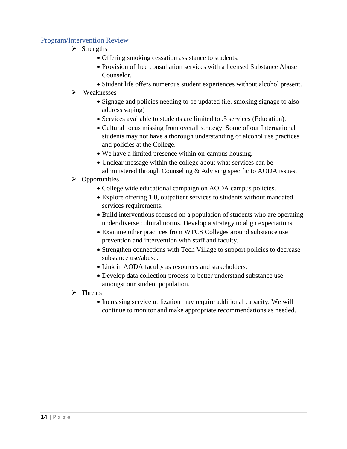### <span id="page-13-0"></span>Program/Intervention Review

- ➢ Strengths
	- Offering smoking cessation assistance to students.
	- Provision of free consultation services with a licensed Substance Abuse Counselor.
	- Student life offers numerous student experiences without alcohol present.
- ➢ Weaknesses
	- Signage and policies needing to be updated (i.e. smoking signage to also address vaping)
	- Services available to students are limited to .5 services (Education).
	- Cultural focus missing from overall strategy. Some of our International students may not have a thorough understanding of alcohol use practices and policies at the College.
	- We have a limited presence within on-campus housing.
	- Unclear message within the college about what services can be administered through Counseling & Advising specific to AODA issues.

#### ➢ Opportunities

- College wide educational campaign on AODA campus policies.
- Explore offering 1.0, outpatient services to students without mandated services requirements.
- Build interventions focused on a population of students who are operating under diverse cultural norms. Develop a strategy to align expectations.
- Examine other practices from WTCS Colleges around substance use prevention and intervention with staff and faculty.
- Strengthen connections with Tech Village to support policies to decrease substance use/abuse.
- Link in AODA faculty as resources and stakeholders.
- Develop data collection process to better understand substance use amongst our student population.
- ➢ Threats
	- Increasing service utilization may require additional capacity. We will continue to monitor and make appropriate recommendations as needed.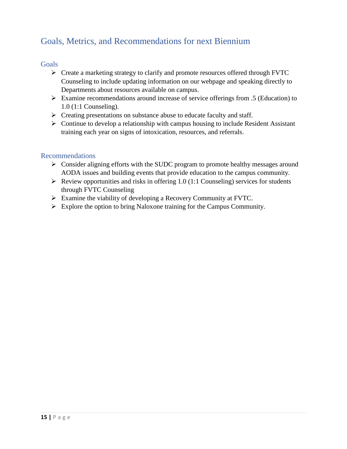## <span id="page-14-0"></span>Goals, Metrics, and Recommendations for next Biennium

#### <span id="page-14-1"></span>**Goals**

- ➢ Create a marketing strategy to clarify and promote resources offered through FVTC Counseling to include updating information on our webpage and speaking directly to Departments about resources available on campus.
- ➢ Examine recommendations around increase of service offerings from .5 (Education) to 1.0 (1:1 Counseling).
- ➢ Creating presentations on substance abuse to educate faculty and staff.
- $\triangleright$  Continue to develop a relationship with campus housing to include Resident Assistant training each year on signs of intoxication, resources, and referrals.

#### <span id="page-14-2"></span>Recommendations

- ➢ Consider aligning efforts with the SUDC program to promote healthy messages around AODA issues and building events that provide education to the campus community.
- $\triangleright$  Review opportunities and risks in offering 1.0 (1:1 Counseling) services for students through FVTC Counseling
- ➢ Examine the viability of developing a Recovery Community at FVTC.
- ➢ Explore the option to bring Naloxone training for the Campus Community.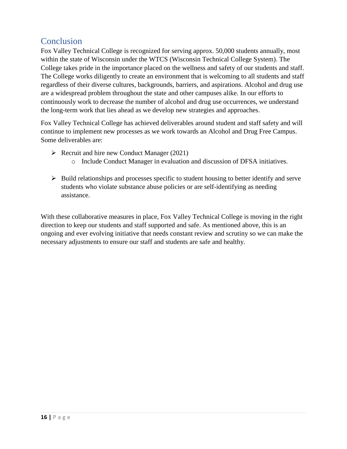## <span id="page-15-0"></span>**Conclusion**

Fox Valley Technical College is recognized for serving approx. 50,000 students annually, most within the state of Wisconsin under the WTCS (Wisconsin Technical College System). The College takes pride in the importance placed on the wellness and safety of our students and staff. The College works diligently to create an environment that is welcoming to all students and staff regardless of their diverse cultures, backgrounds, barriers, and aspirations. Alcohol and drug use are a widespread problem throughout the state and other campuses alike. In our efforts to continuously work to decrease the number of alcohol and drug use occurrences, we understand the long-term work that lies ahead as we develop new strategies and approaches.

Fox Valley Technical College has achieved deliverables around student and staff safety and will continue to implement new processes as we work towards an Alcohol and Drug Free Campus. Some deliverables are:

- $\triangleright$  Recruit and hire new Conduct Manager (2021)
	- o Include Conduct Manager in evaluation and discussion of DFSA initiatives.
- $\triangleright$  Build relationships and processes specific to student housing to better identify and serve students who violate substance abuse policies or are self-identifying as needing assistance.

With these collaborative measures in place, Fox Valley Technical College is moving in the right direction to keep our students and staff supported and safe. As mentioned above, this is an ongoing and ever evolving initiative that needs constant review and scrutiny so we can make the necessary adjustments to ensure our staff and students are safe and healthy.